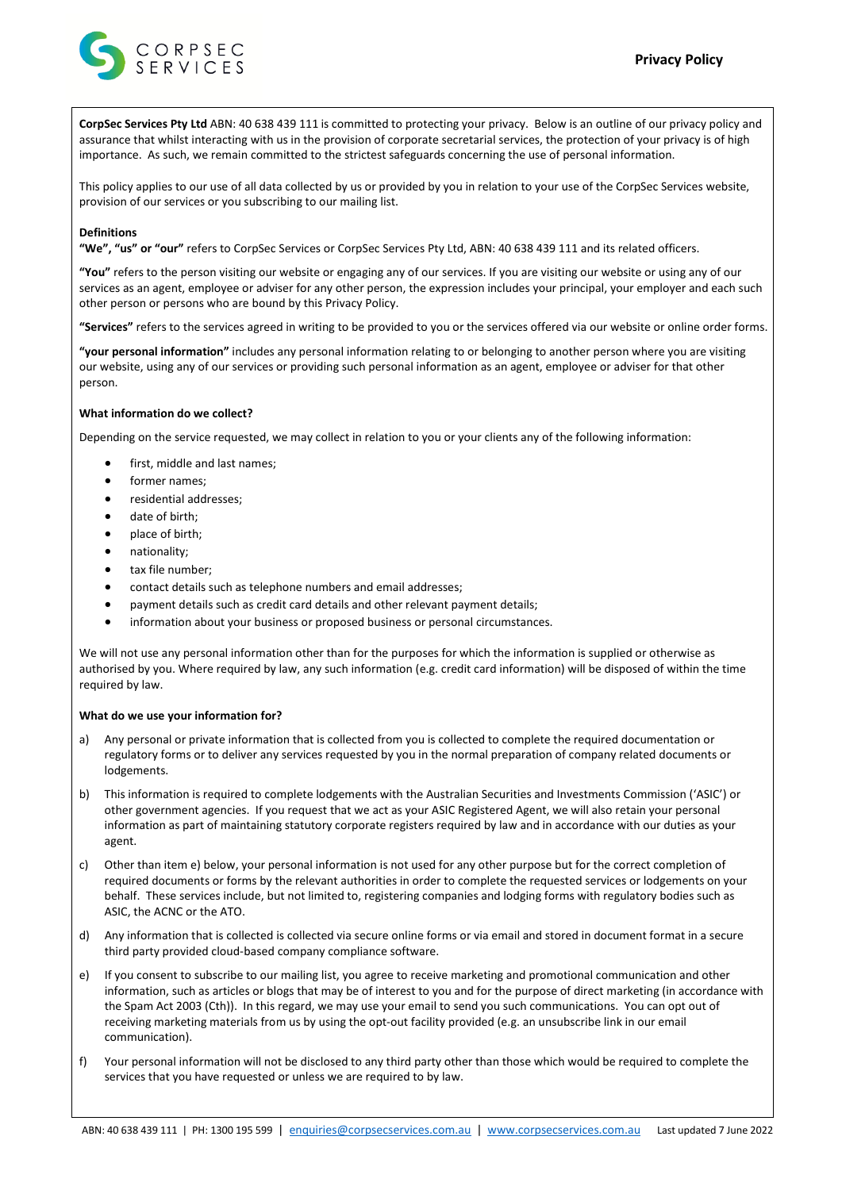

**CorpSec Services Pty Ltd** ABN: 40 638 439 111 is committed to protecting your privacy. Below is an outline of our privacy policy and assurance that whilst interacting with us in the provision of corporate secretarial services, the protection of your privacy is of high importance. As such, we remain committed to the strictest safeguards concerning the use of personal information.

This policy applies to our use of all data collected by us or provided by you in relation to your use of the CorpSec Services website, provision of our services or you subscribing to our mailing list.

#### **Definitions**

**"We", "us" or "our"** refers to CorpSec Services or CorpSec Services Pty Ltd, ABN: 40 638 439 111 and its related officers.

**"You"** refers to the person visiting our website or engaging any of our services. If you are visiting our website or using any of our services as an agent, employee or adviser for any other person, the expression includes your principal, your employer and each such other person or persons who are bound by this Privacy Policy.

**"Services"** refers to the services agreed in writing to be provided to you or the services offered via our website or online order forms.

**"your personal information"** includes any personal information relating to or belonging to another person where you are visiting our website, using any of our services or providing such personal information as an agent, employee or adviser for that other person.

## **What information do we collect?**

Depending on the service requested, we may collect in relation to you or your clients any of the following information:

- first, middle and last names;
- former names;
- residential addresses;
- date of birth:
- place of birth;
- nationality;
- tax file number:
- contact details such as telephone numbers and email addresses;
- payment details such as credit card details and other relevant payment details;
- information about your business or proposed business or personal circumstances.

We will not use any personal information other than for the purposes for which the information is supplied or otherwise as authorised by you. Where required by law, any such information (e.g. credit card information) will be disposed of within the time required by law.

#### **What do we use your information for?**

- a) Any personal or private information that is collected from you is collected to complete the required documentation or regulatory forms or to deliver any services requested by you in the normal preparation of company related documents or lodgements.
- b) This information is required to complete lodgements with the Australian Securities and Investments Commission ('ASIC') or other government agencies. If you request that we act as your ASIC Registered Agent, we will also retain your personal information as part of maintaining statutory corporate registers required by law and in accordance with our duties as your agent.
- c) Other than item e) below, your personal information is not used for any other purpose but for the correct completion of required documents or forms by the relevant authorities in order to complete the requested services or lodgements on your behalf. These services include, but not limited to, registering companies and lodging forms with regulatory bodies such as ASIC, the ACNC or the ATO.
- d) Any information that is collected is collected via secure online forms or via email and stored in document format in a secure third party provided cloud-based company compliance software.
- e) If you consent to subscribe to our mailing list, you agree to receive marketing and promotional communication and other information, such as articles or blogs that may be of interest to you and for the purpose of direct marketing (in accordance with the Spam Act 2003 (Cth)). In this regard, we may use your email to send you such communications. You can opt out of receiving marketing materials from us by using the opt-out facility provided (e.g. an unsubscribe link in our email communication).
- f) Your personal information will not be disclosed to any third party other than those which would be required to complete the services that you have requested or unless we are required to by law.